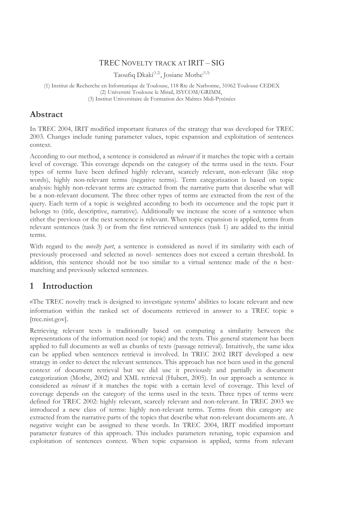## TREC NOVELTY TRACK AT IRIT – SIG

Taoufiq Dkaki<sup> $(1,2)$ </sup>, Josiane Mothe<sup> $(1,3)$ </sup>

(1) Institut de Recherche en Informatique de Toulouse, 118 Rte de Narbonne, 31062 Toulouse CEDEX (2) Université Toulouse le Mirail, ISYCOM/GRIMM, (3) Institut Universitaire de Formation des Maîtres Midi-Pyrénées

## Abstract

In TREC 2004, IRIT modified important features of the strategy that was developed for TREC 2003. Changes include tuning parameter values, topic expansion and exploitation of sentences context.

According to our method, a sentence is considered as *relevant* if it matches the topic with a certain level of coverage. This coverage depends on the category of the terms used in the texts. Four types of terms have been defined highly relevant, scarcely relevant, non-relevant (like stop words), highly non-relevant terms (negative terms). Term categorization is based on topic analysis: highly non-relevant terms are extracted from the narrative parts that describe what will be a non-relevant document. The three other types of terms are extracted from the rest of the query. Each term of a topic is weighted according to both its occurrence and the topic part it belongs to (title, descriptive, narrative). Additionally we increase the score of a sentence when either the previous or the next sentence is relevant. When topic expansion is applied, terms from relevant sentences (task 3) or from the first retrieved sentences (task 1) are added to the initial terms.

With regard to the *novelty part*, a sentence is considered as novel if its similarity with each of previously processed -and selected as novel- sentences does not exceed a certain threshold. In addition, this sentence should not be too similar to a virtual sentence made of the n bestmatching and previously selected sentences.

# 1 Introduction

«The TREC novelty track is designed to investigate systems' abilities to locate relevant and new information within the ranked set of documents retrieved in answer to a TREC topic » [trec.nist.gov].

Retrieving relevant texts is traditionally based on computing a similarity between the representations of the information need (or topic) and the texts. This general statement has been applied to full documents as well as chunks of texts (passage retrieval). Intuitively, the same idea can be applied when sentences retrieval is involved. In TREC 2002 IRIT developed a new strategy in order to detect the relevant sentences. This approach has not been used in the general context of document retrieval but we did use it previously and partially in document categorization (Mothe, 2002) and XML retrieval (Hubert, 2005). In our approach a sentence is considered as relevant if it matches the topic with a certain level of coverage. This level of coverage depends on the category of the terms used in the texts. Three types of terms were defined for TREC 2002: highly relevant, scarcely relevant and non-relevant. In TREC 2003 we introduced a new class of terms: highly non-relevant terms. Terms from this category are extracted from the narrative parts of the topics that describe what non-relevant documents are. A negative weight can be assigned to these words. In TREC 2004, IRIT modified important parameter features of this approach. This includes parameters retuning, topic expansion and exploitation of sentences context. When topic expansion is applied, terms from relevant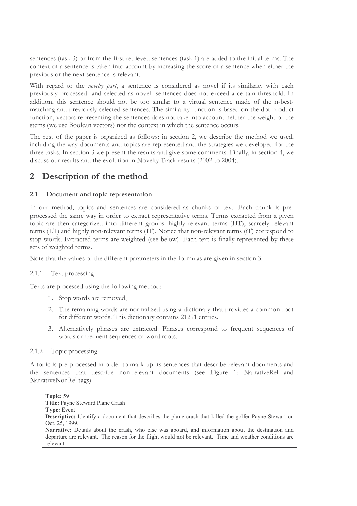sentences (task 3) or from the first retrieved sentences (task 1) are added to the initial terms. The context of a sentence is taken into account by increasing the score of a sentence when either the previous or the next sentence is relevant.

With regard to the *novelty part*, a sentence is considered as novel if its similarity with each previously processed -and selected as novel- sentences does not exceed a certain threshold. In addition, this sentence should not be too similar to a virtual sentence made of the n-bestmatching and previously selected sentences. The similarity function is based on the dot-product function, vectors representing the sentences does not take into account neither the weight of the stems (we use Boolean vectors) nor the context in which the sentence occurs.

The rest of the paper is organized as follows: in section 2, we describe the method we used, including the way documents and topics are represented and the strategies we developed for the three tasks. In section 3 we present the results and give some comments. Finally, in section 4, we discuss our results and the evolution in Novelty Track results (2002 to 2004).

# 2 Description of the method

## 2.1 Document and topic representation

In our method, topics and sentences are considered as chunks of text. Each chunk is preprocessed the same way in order to extract representative terms. Terms extracted from a given topic are then categorized into different groups: highly relevant terms (HT), scarcely relevant terms (LT) and highly non-relevant terms (IT). Notice that non-relevant terms (iT) correspond to stop words. Extracted terms are weighted (see below). Each text is finally represented by these sets of weighted terms.

Note that the values of the different parameters in the formulas are given in section 3.

## 2.1.1 Text processing

Texts are processed using the following method:

- 1. Stop words are removed,
- 2. The remaining words are normalized using a dictionary that provides a common root for different words. This dictionary contains 21291 entries.
- 3. Alternatively phrases are extracted. Phrases correspond to frequent sequences of words or frequent sequences of word roots.

## 2.1.2 Topic processing

A topic is pre-processed in order to mark-up its sentences that describe relevant documents and the sentences that describe non-relevant documents (see Figure 1: NarrativeRel and NarrativeNonRel tags).

Topic: 59 Title: Payne Steward Plane Crash Type: Event Descriptive: Identify a document that describes the plane crash that killed the golfer Payne Stewart on Oct. 25, 1999. Narrative: Details about the crash, who else was aboard, and information about the destination and departure are relevant. The reason for the flight would not be relevant. Time and weather conditions are relevant.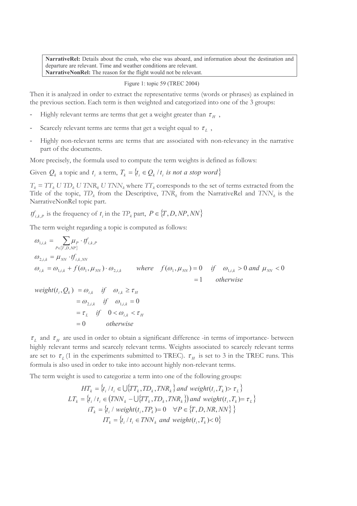NarrativeRel: Details about the crash, who else was aboard, and information about the destination and departure are relevant. Time and weather conditions are relevant. NarrativeNonRel: The reason for the flight would not be relevant.

#### Figure 1: topic 59 (TREC 2004)

Then it is analyzed in order to extract the representative terms (words or phrases) as explained in the previous section. Each term is then weighted and categorized into one of the 3 groups:

- Highly relevant terms are terms that get a weight greater than  $\tau_H$ ,
- Scarcely relevant terms are terms that get a weight equal to  $\tau_L$ ,
- Highly non-relevant terms are terms that are associated with non-relevancy in the narrative part of the documents.

More precisely, the formula used to compute the term weights is defined as follows:

Given  $Q_k$  a topic and  $t_i$  a term,  $T_k = \{t_i \in Q_k \mid t_i \text{ is not a stop word}\}\$ 

 $T_k = TT_k U TD_k U TNR_k U TNN_k$  where  $TT_k$  corresponds to the set of terms extracted from the Title of the topic,  $TD_k$  from the Descriptive,  $TNR_k$  from the NarrativeRel and  $TNN_k$  is the NarrativeNonRel topic part.

 $tf_{i,k,P}$  is the frequency of  $t_i$  in the TP<sub>k</sub> part,  $P \in \{T, D, NP, NN\}$ 

The term weight regarding a topic is computed as follows:

$$
\omega_{1,i,k} = \sum_{P \in \{T, D, NP\}} \mu_P \cdot tf_{i,k,P}
$$
\n
$$
\omega_{2,i,k} = \mu_{NN} \cdot tf_{i,k,NN}
$$
\n
$$
\omega_{i,k} = \omega_{1,i,k} + f(\omega_1, \mu_{NN}) \cdot \omega_{2,i,k} \qquad \text{where} \quad f(\omega_1, \mu_{NN}) = 0 \quad \text{if} \quad \omega_{1,i,k} > 0 \text{ and } \mu_{NN} < 0
$$
\n
$$
= 1 \qquad \text{otherwise}
$$

$$
\begin{aligned} weight(t_i, Q_k) &= \omega_{i,k} \quad \text{if} \quad \omega_{i,k} \ge \tau_H \\ &= \omega_{2,i,k} \quad \text{if} \quad \omega_{1,i,k} = 0 \\ &= \tau_L \quad \text{if} \quad 0 < \omega_{i,k} < \tau_H \\ &= 0 \quad \text{otherwise} \end{aligned}
$$

 $\tau_L$  and  $\tau_H$  are used in order to obtain a significant difference -in terms of importance- between highly relevant terms and scarcely relevant terms. Weights associated to scarcely relevant terms are set to  $\tau_L$  (1 in the experiments submitted to TREC).  $\tau_H$  is set to 3 in the TREC runs. This formula is also used in order to take into account highly non-relevant terms.

The term weight is used to categorize a term into one of the following groups:

$$
HT_k = \{t_i / t_i \in \bigcup \{TT_k, TD_k, TNR_k\} \text{ and } weight(t_i, T_k) > \tau_L\}
$$
\n
$$
LT_k = \{t_i / t_i \in (TNN_k - \bigcup \{TT_k, TD_k, TNR_k\} \text{) and } weight(t_i, T_k) = \tau_L\}
$$
\n
$$
iT_k = \{t_i / weight(t_i, TP_k) = 0 \quad \forall P \in \{T, D, NR, NN\} \}
$$
\n
$$
IT_k = \{t_i / t_i \in TNN_k \text{ and } weight(t_i, T_k) < 0\}
$$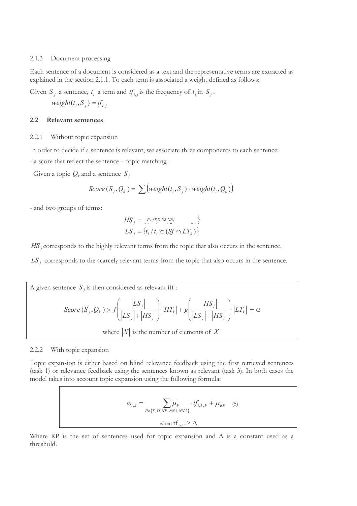#### 2.1.3 Document processing

Each sentence of a document is considered as a text and the representative terms are extracted as explained in the section 2.1.1. To each term is associated a weight defined as follows:

Given  $S_j$  a sentence,  $t_i$  a term and  $tf_{i,j}$  is the frequency of  $t_i$  in  $S_j$ .

 $weight(t_i, S_j) = tf_{i,j}$ 

#### 2.2 Relevant sentences

#### 2.2.1 Without topic expansion

In order to decide if a sentence is relevant, we associate three components to each sentence:

- a score that reflect the sentence – topic matching :

Given a topic  $Q_k$  and a sentence  $S_j$ 

$$
Score(S_j, Q_k) = \sum \left( weight(t_i, S_j) \cdot weight(t_i, Q_k) \right)
$$

- and two groups of terms:

$$
HS_{j} = \{ P \in \{T, D, NR, NN\}} \}
$$
  

$$
LS_{j} = \{ t_{i} / t_{i} \in (Sj \cap LT_{k}) \}
$$

 $HS_j$  corresponds to the highly relevant terms from the topic that also occurs in the sentence,

 $LS<sub>j</sub>$  corresponds to the scarcely relevant terms from the topic that also occurs in the sentence.

A given sentence 
$$
S_j
$$
 is then considered as relevant iff :  
\n
$$
Score(S_j, Q_k) > f\left(\frac{|LS_j|}{|LS_j|+|HS_j|}\right) \cdot |HT_k| + g\left(\frac{|HS_j|}{|LS_j|+|HS_j|}\right) \cdot |LT_k| + \alpha
$$
\nwhere  $|X|$  is the number of elements of  $X$ 

#### 2.2.2 With topic expansion

Topic expansion is either based on blind relevance feedback using the first retrieved sentences (task 1) or relevance feedback using the sentences known as relevant (task 3). In both cases the model takes into account topic expansion using the following formula:

$$
\omega_{i,k} = \sum_{P \in \{T, D, NP, NN1, NN2\}} \mu_P \cdot tf_{i,k,P} + \mu_{RP} \quad (5)
$$
  
when  $tf_{i,k,P} > \Delta$ 

Where RP is the set of sentences used for topic expansion and  $\Delta$  is a constant used as a threshold.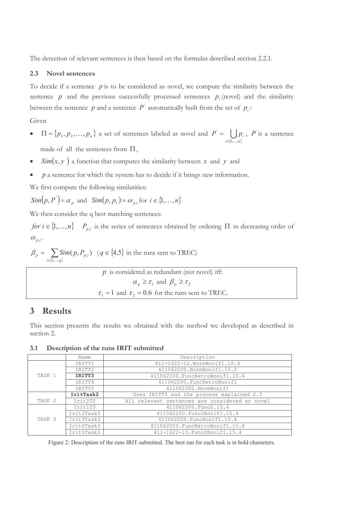The detection of relevant sentences is then based on the formulas described section 2.2.1.

### 2.3 Novel sentences

To decide if a sentence  $p$  is to be considered as novel, we compute the similarity between the sentence  $p$  and the previous successfully processed sentences  $p_i$  (novel) and the similarity between the sentence  $p$  and a sentence  $P'$  automatically built from the set of  $p_i$ :

Given

- $\Pi = \{p_1, p_2, \dots, p_n\}$  a set of sentences labeled as novel and  $\{1, \ldots, n\}$ U  $i \in \{1, \ldots, n\}$  $P = \bigcup p_i$  $1, \ldots$ ' ∈  $=$   $\bigcup p_i$ , *P* is a sentence made of all the sentences from  $\Pi$ ,
- Sim $(x, y)$  a function that computes the similarity between x and y and
- $p$  a sentence for which the system has to decide if it brings new information.

We first compute the following similarities:

$$
Sim(p, P') = \alpha_p \text{ and } Sim(p, p_i) = \omega_{p,i} \text{ for } i \in \{1, \dots, n\}
$$

We then consider the q best matching sentences:

for  $i \in \{1, ..., n\}$   $P_{p,i}$  is the series of sentences obtained by ordering  $\Pi$  in decreasing order of  $\omega_{p,i}$ .

$$
\beta_p = \sum_{i \in \{1, \dots, q\}} Sim(p, P_{p,i}) \quad (q \in \{4, 5\} \text{ in the runs sent to TREC})
$$

| $p$ is considered as redundant (not novel) iff:            |
|------------------------------------------------------------|
| $\alpha_p \geq \tau_1$ and $\beta_p \geq \tau_2$           |
| $\tau_1 = 1$ and $\tau_2 = 0.6$ for the runs sent to TREC. |

## 3 Results

This section presents the results we obtained with the method we developed as described in section 2.

3.1 Description of the runs IRIT submitted

|                   | Name       | Description                                    |
|-------------------|------------|------------------------------------------------|
| TASK 1            | IRITT1     | 411-1622-10.NormBonif1.10.4                    |
|                   | IRITT2     | 411062200.NormBonif1.15.2                      |
|                   | IRITT3     | 411062200. FuncRetroBonif1.10.4                |
|                   | IRITT4     | 411062200.FuncRetroBonif1                      |
|                   | IRITT5     | 411062200.NormBonif1                           |
|                   | IritTask2  | Uses IRITT3 and the process explained 2.3      |
| TASK <sub>2</sub> | Irit2T2    | All relevant sentences are considered as novel |
| TASK <sub>3</sub> | Irit1T3    | 411062200.Func2.15.4                           |
|                   | Irit2Task3 | 411062200.Func2Bonif1.15.4                     |
|                   | Irit3Task3 | 411062200.FuncBonif1.10.4                      |
|                   | Irit4Task3 | 411062200. FuncRetroBonif1.15.4                |
|                   | Irit5Task3 | 411-1622-10. Func2Bonif1.15.4                  |

Figure 2: Description of the runs IRIT submitted. The best run for each task is in bold characters.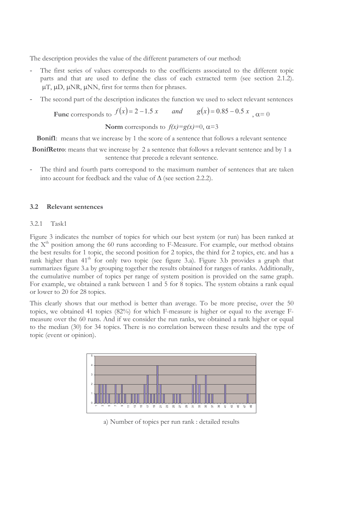The description provides the value of the different parameters of our method:

- The first series of values corresponds to the coefficients associated to the different topic parts and that are used to define the class of each extracted term (see section 2.1.2).  $\mu$ T,  $\mu$ D,  $\mu$ NR,  $\mu$ NN, first for terms then for phrases.
- The second part of the description indicates the function we used to select relevant sentences

Func corresponds to  $f(x) = 2 - 1.5 x$  and  $g(x) = 0.85 - 0.5 x$ ,  $\alpha = 0$ 

Norm corresponds to  $f(x)=g(x)=0, \alpha=3$ 

**Bonif1**: means that we increase by 1 the score of a sentence that follows a relevant sentence

BonifRetro: means that we increase by 2 a sentence that follows a relevant sentence and by 1 a sentence that precede a relevant sentence.

The third and fourth parts correspond to the maximum number of sentences that are taken into account for feedback and the value of ∆ (see section 2.2.2).

### 3.2 Relevant sentences

### 3.2.1 Task1

Figure 3 indicates the number of topics for which our best system (or run) has been ranked at the  $X<sup>th</sup>$  position among the 60 runs according to F-Measure. For example, our method obtains the best results for 1 topic, the second position for 2 topics, the third for 2 topics, etc. and has a rank higher than  $41<sup>th</sup>$  for only two topic (see figure 3.a). Figure 3.b provides a graph that summarizes figure 3.a by grouping together the results obtained for ranges of ranks. Additionally, the cumulative number of topics per range of system position is provided on the same graph. For example, we obtained a rank between 1 and 5 for 8 topics. The system obtains a rank equal or lower to 20 for 28 topics.

This clearly shows that our method is better than average. To be more precise, over the 50 topics, we obtained 41 topics (82%) for which F-measure is higher or equal to the average Fmeasure over the 60 runs. And if we consider the run ranks, we obtained a rank higher or equal to the median (30) for 34 topics. There is no correlation between these results and the type of topic (event or opinion).



a) Number of topics per run rank : detailed results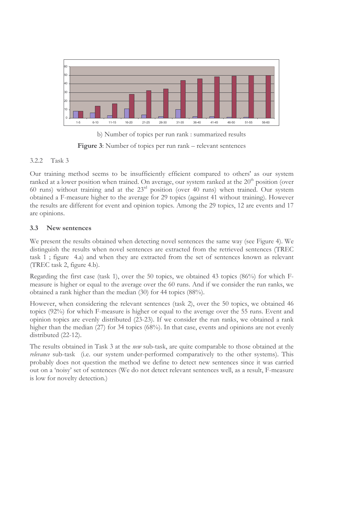

b) Number of topics per run rank : summarized results Figure 3: Number of topics per run rank – relevant sentences

## 3.2.2 Task 3

Our training method seems to be insufficiently efficient compared to others' as our system ranked at a lower position when trained. On average, our system ranked at the  $20<sup>th</sup>$  position (over 60 runs) without training and at the 23rd position (over 40 runs) when trained. Our system obtained a F-measure higher to the average for 29 topics (against 41 without training). However the results are different for event and opinion topics. Among the 29 topics, 12 are events and 17 are opinions.

## 3.3 New sentences

We present the results obtained when detecting novel sentences the same way (see Figure 4). We distinguish the results when novel sentences are extracted from the retrieved sentences (TREC task 1 ; figure 4.a) and when they are extracted from the set of sentences known as relevant (TREC task 2, figure 4.b).

Regarding the first case (task 1), over the 50 topics, we obtained 43 topics (86%) for which Fmeasure is higher or equal to the average over the 60 runs. And if we consider the run ranks, we obtained a rank higher than the median (30) for 44 topics (88%).

However, when considering the relevant sentences (task 2), over the 50 topics, we obtained 46 topics (92%) for which F-measure is higher or equal to the average over the 55 runs. Event and opinion topics are evenly distributed (23-23). If we consider the run ranks, we obtained a rank higher than the median (27) for 34 topics (68%). In that case, events and opinions are not evenly distributed (22-12).

The results obtained in Task 3 at the new sub-task, are quite comparable to those obtained at the relevance sub-task (i.e. our system under-performed comparatively to the other systems). This probably does not question the method we define to detect new sentences since it was carried out on a 'noisy' set of sentences (We do not detect relevant sentences well, as a result, F-measure is low for novelty detection.)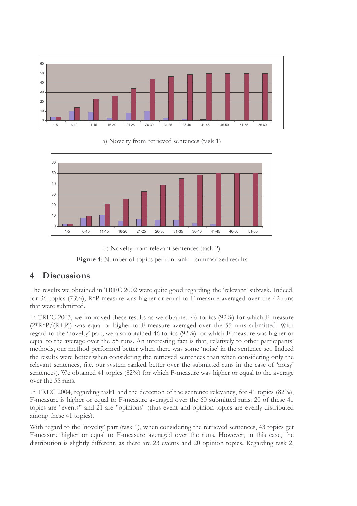

a) Novelty from retrieved sentences (task 1)







## 4 Discussions

The results we obtained in TREC 2002 were quite good regarding the 'relevant' subtask. Indeed, for 36 topics (73%), R\*P measure was higher or equal to F-measure averaged over the 42 runs that were submitted.

In TREC 2003, we improved these results as we obtained 46 topics (92%) for which F-measure  $(2*R*P/(R+P))$  was equal or higher to F-measure averaged over the 55 runs submitted. With regard to the 'novelty' part, we also obtained 46 topics (92%) for which F-measure was higher or equal to the average over the 55 runs. An interesting fact is that, relatively to other participants' methods, our method performed better when there was some 'noise' in the sentence set. Indeed the results were better when considering the retrieved sentences than when considering only the relevant sentences, (i.e. our system ranked better over the submitted runs in the case of 'noisy' sentences). We obtained 41 topics (82%) for which F-measure was higher or equal to the average over the 55 runs.

In TREC 2004, regarding task1 and the detection of the sentence relevancy, for 41 topics (82%), F-measure is higher or equal to F-measure averaged over the 60 submitted runs. 20 of these 41 topics are "events" and 21 are "opinions" (thus event and opinion topics are evenly distributed among these 41 topics).

With regard to the 'novelty' part (task 1), when considering the retrieved sentences, 43 topics get F-measure higher or equal to F-measure averaged over the runs. However, in this case, the distribution is slightly different, as there are 23 events and 20 opinion topics. Regarding task 2,